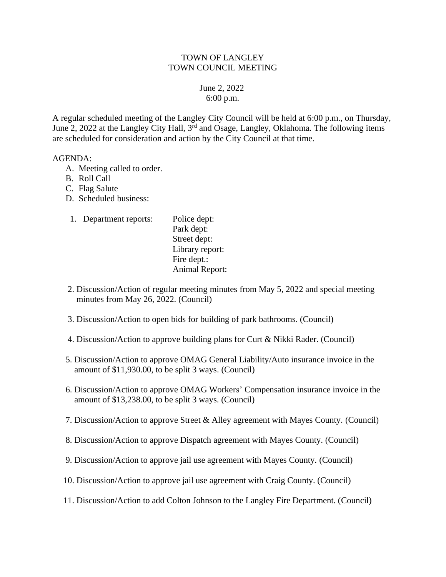## TOWN OF LANGLEY TOWN COUNCIL MEETING

## June 2, 2022 6:00 p.m.

A regular scheduled meeting of the Langley City Council will be held at 6:00 p.m., on Thursday, June 2, 2022 at the Langley City Hall, 3<sup>rd</sup> and Osage, Langley, Oklahoma. The following items are scheduled for consideration and action by the City Council at that time.

## AGENDA:

- A. Meeting called to order.
- B. Roll Call
- C. Flag Salute
- D. Scheduled business:
- 1. Department reports: Police dept: Park dept: Street dept: Library report: Fire dept.: Animal Report:
- 2. Discussion/Action of regular meeting minutes from May 5, 2022 and special meeting minutes from May 26, 2022. (Council)
- 3. Discussion/Action to open bids for building of park bathrooms. (Council)
- 4. Discussion/Action to approve building plans for Curt & Nikki Rader. (Council)
- 5. Discussion/Action to approve OMAG General Liability/Auto insurance invoice in the amount of \$11,930.00, to be split 3 ways. (Council)
- 6. Discussion/Action to approve OMAG Workers' Compensation insurance invoice in the amount of \$13,238.00, to be split 3 ways. (Council)
- 7. Discussion/Action to approve Street & Alley agreement with Mayes County. (Council)
- 8. Discussion/Action to approve Dispatch agreement with Mayes County. (Council)
- 9. Discussion/Action to approve jail use agreement with Mayes County. (Council)
- 10. Discussion/Action to approve jail use agreement with Craig County. (Council)
- 11. Discussion/Action to add Colton Johnson to the Langley Fire Department. (Council)